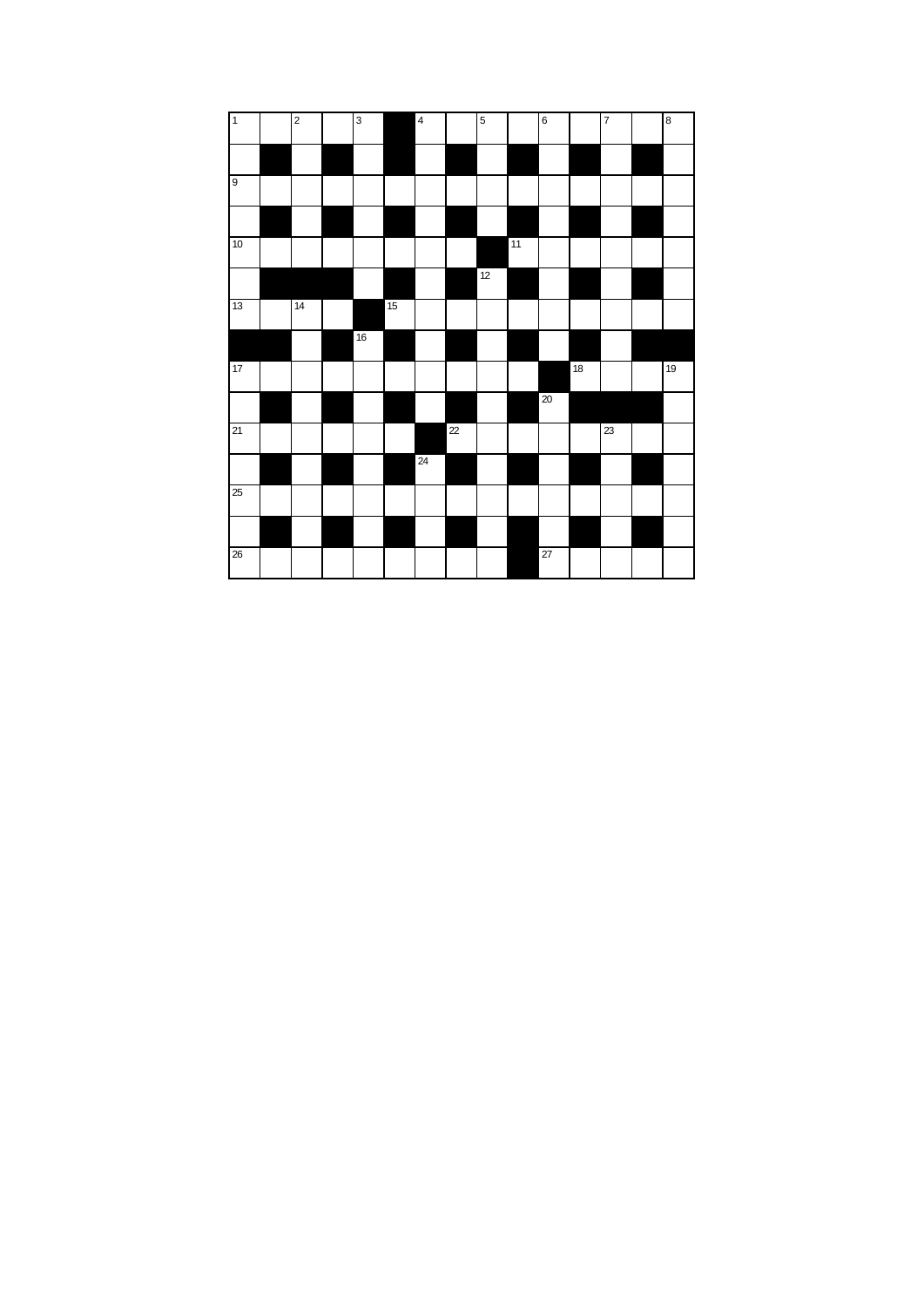